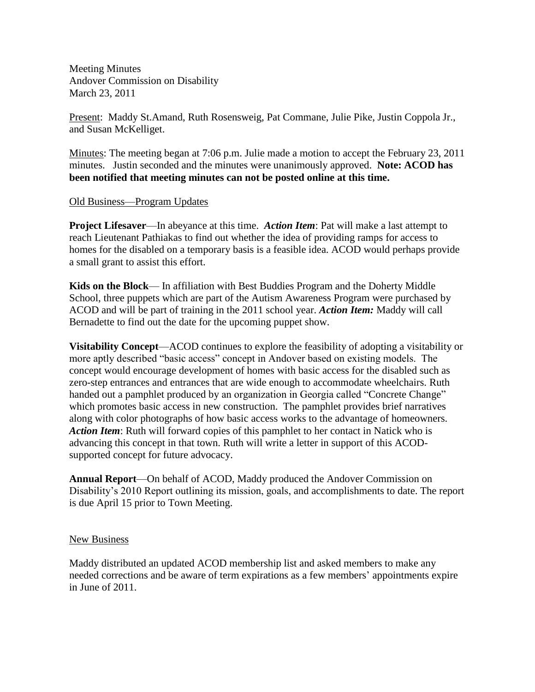Meeting Minutes Andover Commission on Disability March 23, 2011

Present: Maddy St.Amand, Ruth Rosensweig, Pat Commane, Julie Pike, Justin Coppola Jr., and Susan McKelliget.

Minutes: The meeting began at 7:06 p.m. Julie made a motion to accept the February 23, 2011 minutes. Justin seconded and the minutes were unanimously approved. **Note: ACOD has been notified that meeting minutes can not be posted online at this time.**

### Old Business—Program Updates

**Project Lifesaver**—In abeyance at this time. *Action Item*: Pat will make a last attempt to reach Lieutenant Pathiakas to find out whether the idea of providing ramps for access to homes for the disabled on a temporary basis is a feasible idea. ACOD would perhaps provide a small grant to assist this effort.

**Kids on the Block**— In affiliation with Best Buddies Program and the Doherty Middle School, three puppets which are part of the Autism Awareness Program were purchased by ACOD and will be part of training in the 2011 school year. *Action Item:* Maddy will call Bernadette to find out the date for the upcoming puppet show.

**Visitability Concept**—ACOD continues to explore the feasibility of adopting a visitability or more aptly described "basic access" concept in Andover based on existing models. The concept would encourage development of homes with basic access for the disabled such as zero-step entrances and entrances that are wide enough to accommodate wheelchairs. Ruth handed out a pamphlet produced by an organization in Georgia called "Concrete Change" which promotes basic access in new construction. The pamphlet provides brief narratives along with color photographs of how basic access works to the advantage of homeowners. *Action Item*: Ruth will forward copies of this pamphlet to her contact in Natick who is advancing this concept in that town. Ruth will write a letter in support of this ACODsupported concept for future advocacy.

**Annual Report**—On behalf of ACOD, Maddy produced the Andover Commission on Disability's 2010 Report outlining its mission, goals, and accomplishments to date. The report is due April 15 prior to Town Meeting.

### New Business

Maddy distributed an updated ACOD membership list and asked members to make any needed corrections and be aware of term expirations as a few members' appointments expire in June of 2011.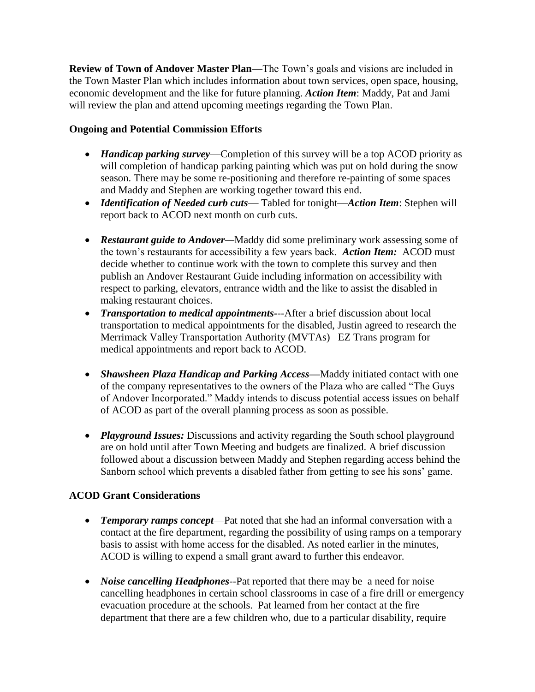**Review of Town of Andover Master Plan**—The Town's goals and visions are included in the Town Master Plan which includes information about town services, open space, housing, economic development and the like for future planning. *Action Item*: Maddy, Pat and Jami will review the plan and attend upcoming meetings regarding the Town Plan.

# **Ongoing and Potential Commission Efforts**

- *Handicap parking survey*—Completion of this survey will be a top ACOD priority as will completion of handicap parking painting which was put on hold during the snow season. There may be some re-positioning and therefore re-painting of some spaces and Maddy and Stephen are working together toward this end.
- *Identification of Needed curb cuts* Tabled for tonight—*Action Item*: Stephen will report back to ACOD next month on curb cuts.
- *Restaurant guide to Andover—*Maddy did some preliminary work assessing some of the town's restaurants for accessibility a few years back. *Action Item:* ACOD must decide whether to continue work with the town to complete this survey and then publish an Andover Restaurant Guide including information on accessibility with respect to parking, elevators, entrance width and the like to assist the disabled in making restaurant choices.
- *Transportation to medical appointments-*--After a brief discussion about local transportation to medical appointments for the disabled, Justin agreed to research the Merrimack Valley Transportation Authority (MVTAs) EZ Trans program for medical appointments and report back to ACOD.
- *Shawsheen Plaza Handicap and Parking Access—*Maddy initiated contact with one of the company representatives to the owners of the Plaza who are called "The Guys of Andover Incorporated." Maddy intends to discuss potential access issues on behalf of ACOD as part of the overall planning process as soon as possible.
- *Playground Issues:* Discussions and activity regarding the South school playground are on hold until after Town Meeting and budgets are finalized. A brief discussion followed about a discussion between Maddy and Stephen regarding access behind the Sanborn school which prevents a disabled father from getting to see his sons' game.

# **ACOD Grant Considerations**

- *Temporary ramps concept*—Pat noted that she had an informal conversation with a contact at the fire department, regarding the possibility of using ramps on a temporary basis to assist with home access for the disabled. As noted earlier in the minutes, ACOD is willing to expend a small grant award to further this endeavor.
- *Noise cancelling Headphones*--Pat reported that there may be a need for noise cancelling headphones in certain school classrooms in case of a fire drill or emergency evacuation procedure at the schools. Pat learned from her contact at the fire department that there are a few children who, due to a particular disability, require